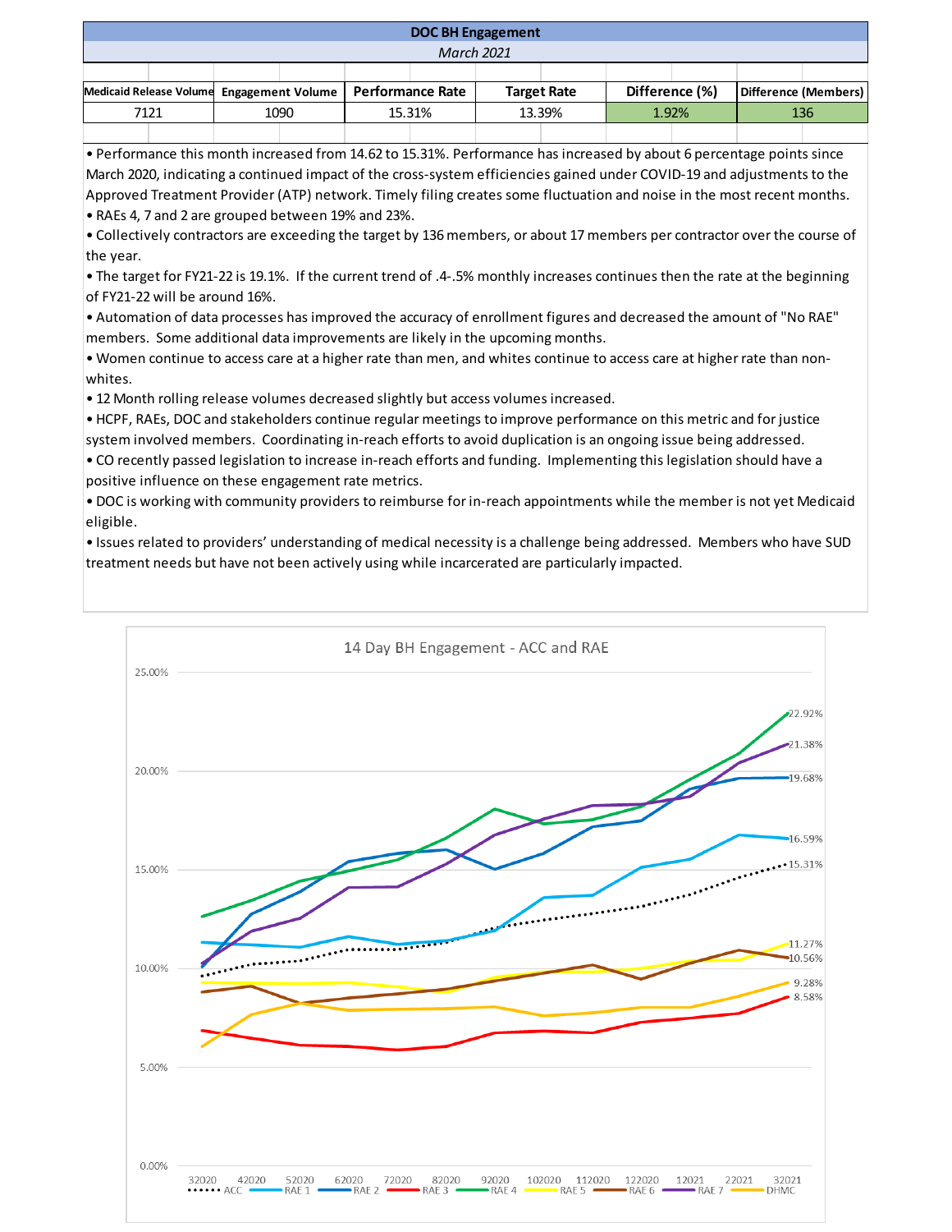| <b>DOC BH Engagement</b>                  |  |      |  |                  |  |                    |  |                |  |                      |  |
|-------------------------------------------|--|------|--|------------------|--|--------------------|--|----------------|--|----------------------|--|
| <b>March 2021</b>                         |  |      |  |                  |  |                    |  |                |  |                      |  |
|                                           |  |      |  |                  |  |                    |  |                |  |                      |  |
| Medicaid Release Volume Engagement Volume |  |      |  | Performance Rate |  | <b>Target Rate</b> |  | Difference (%) |  | Difference (Members) |  |
| 7121                                      |  | 1090 |  | 15.31%           |  | 13.39%             |  | 1.92%          |  | 136                  |  |
|                                           |  |      |  |                  |  |                    |  |                |  |                      |  |

• Performance this month increased from 14.62 to 15.31%. Performance has increased by about 6 percentage points since March 2020, indicating a continued impact of the cross-system efficiencies gained under COVID-19 and adjustments to the Approved Treatment Provider (ATP) network. Timely filing creates some fluctuation and noise in the most recent months.

• RAEs 4, 7 and 2 are grouped between 19% and 23%.

• Collectively contractors are exceeding the target by 136 members, or about 17 members per contractor over the course of the year.

• The target for FY21-22 is 19.1%. If the current trend of .4-.5% monthly increases continues then the rate at the beginning of FY21-22 will be around 16%.

• Automation of data processes has improved the accuracy of enrollment figures and decreased the amount of "No RAE" members. Some additional data improvements are likely in the upcoming months.

• Women continue to access care at a higher rate than men, and whites continue to access care at higher rate than nonwhites.

• 12 Month rolling release volumes decreased slightly but access volumes increased.

• HCPF, RAEs, DOC and stakeholders continue regular meetings to improve performance on this metric and for justice system involved members. Coordinating in-reach efforts to avoid duplication is an ongoing issue being addressed.

• CO recently passed legislation to increase in-reach efforts and funding. Implementing this legislation should have a positive influence on these engagement rate metrics.

• DOC is working with community providers to reimburse for in-reach appointments while the member is not yet Medicaid eligible.

• Issues related to providers' understanding of medical necessity is a challenge being addressed. Members who have SUD treatment needs but have not been actively using while incarcerated are particularly impacted.

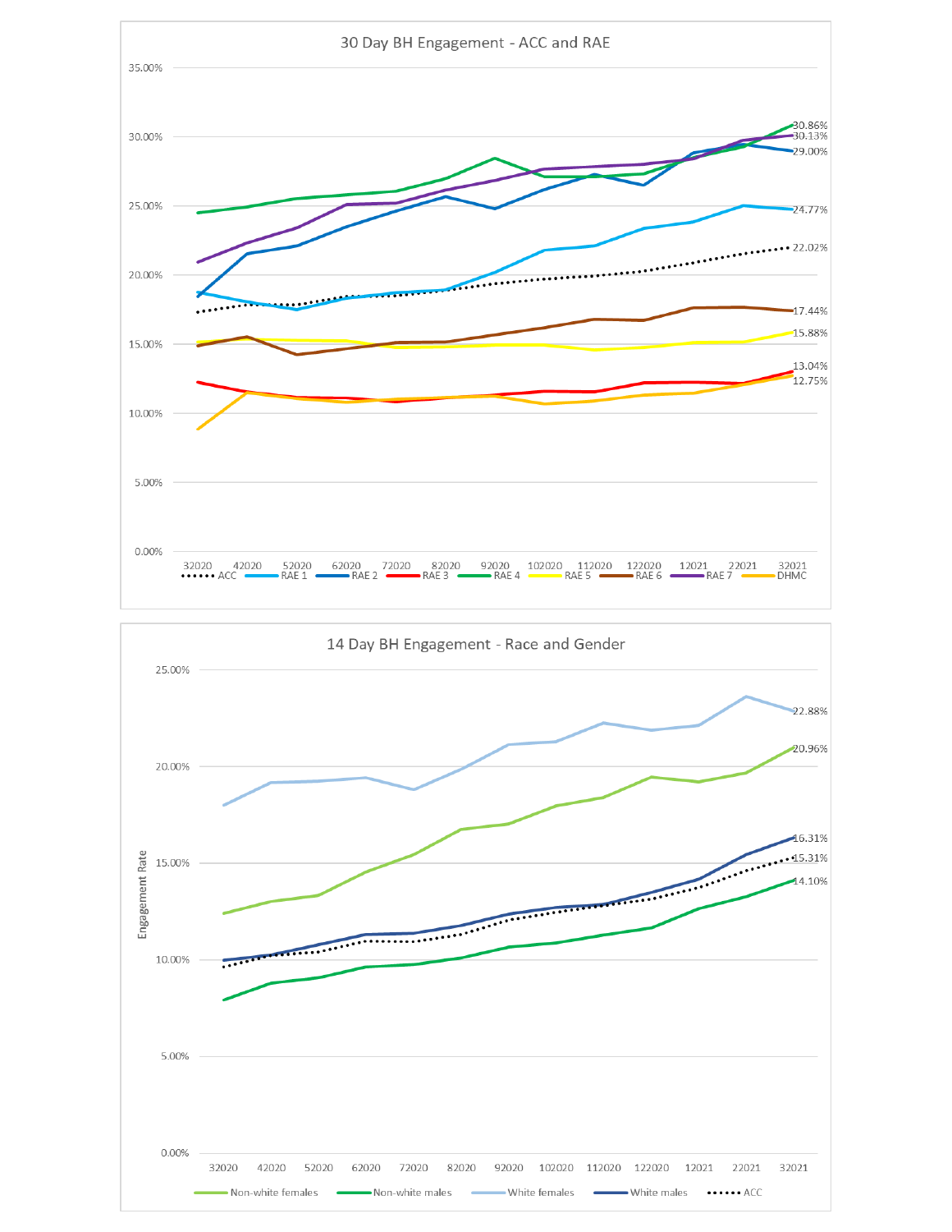